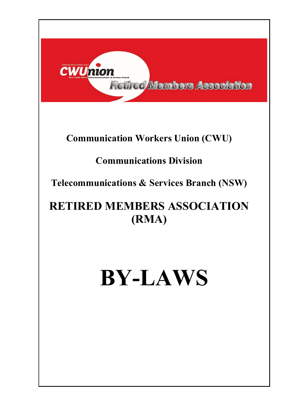

# **Communication Workers Union (CWU)**

# **Communications Division**

**Telecommunications & Services Branch (NSW)**

# **RETIRED MEMBERS ASSOCIATION (RMA)**

# **BY-LAWS**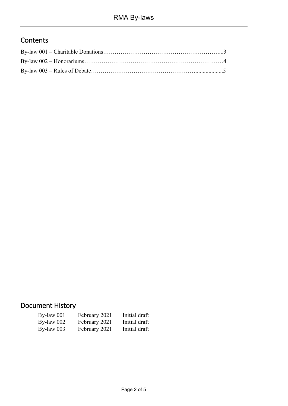## **Contents**

# Document History

| $By$ -law 001 | February 2021               | <b>Haitial draft</b> |
|---------------|-----------------------------|----------------------|
| By-law $002$  | <b>February 2021</b>        | <b>Initial draft</b> |
| By-law $003$  | February 2021 Initial draft |                      |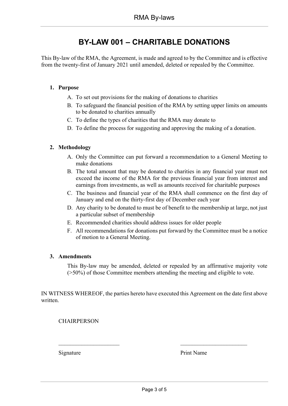## <span id="page-2-0"></span>**BY-LAW 001 – CHARITABLE DONATIONS**

This By-law of the RMA, the Agreement, is made and agreed to by the Committee and is effective from the twenty-first of January 2021 until amended, deleted or repealed by the Committee.

#### **1. Purpose**

- A. To set out provisions for the making of donations to charities
- B. To safeguard the financial position of the RMA by setting upper limits on amounts to be donated to charities annually
- C. To define the types of charities that the RMA may donate to
- D. To define the process for suggesting and approving the making of a donation.

#### **2. Methodology**

- A. Only the Committee can put forward a recommendation to a General Meeting to make donations
- B. The total amount that may be donated to charities in any financial year must not exceed the income of the RMA for the previous financial year from interest and earnings from investments, as well as amounts received for charitable purposes
- C. The business and financial year of the RMA shall commence on the first day of January and end on the thirty-first day of December each year
- D. Any charity to be donated to must be of benefit to the membership at large, not just a particular subset of membership
- E. Recommended charities should address issues for older people
- F. All recommendations for donations put forward by the Committee must be a notice of motion to a General Meeting.

#### **3. Amendments**

This By-law may be amended, deleted or repealed by an affirmative majority vote (>50%) of those Committee members attending the meeting and eligible to vote.

IN WITNESS WHEREOF, the parties hereto have executed this Agreement on the date first above written.

 $\overline{\phantom{a}}$  , and the contribution of the contribution of  $\overline{\phantom{a}}$  , and  $\overline{\phantom{a}}$  , and  $\overline{\phantom{a}}$ 

**CHAIRPERSON** 

Signature Print Name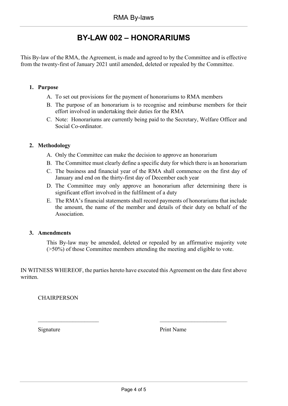## **BY-LAW 002 – HONORARIUMS**

<span id="page-3-0"></span>This By-law of the RMA, the Agreement, is made and agreed to by the Committee and is effective from the twenty-first of January 2021 until amended, deleted or repealed by the Committee.

#### **1. Purpose**

- A. To set out provisions for the payment of honorariums to RMA members
- B. The purpose of an honorarium is to recognise and reimburse members for their effort involved in undertaking their duties for the RMA
- C. Note: Honorariums are currently being paid to the Secretary, Welfare Officer and Social Co-ordinator.

#### **2. Methodology**

- A. Only the Committee can make the decision to approve an honorarium
- B. The Committee must clearly define a specific duty for which there is an honorarium
- C. The business and financial year of the RMA shall commence on the first day of January and end on the thirty-first day of December each year
- D. The Committee may only approve an honorarium after determining there is significant effort involved in the fulfilment of a duty
- E. The RMA's financial statements shall record payments of honorariums that include the amount, the name of the member and details of their duty on behalf of the Association.

#### **3. Amendments**

This By-law may be amended, deleted or repealed by an affirmative majority vote (>50%) of those Committee members attending the meeting and eligible to vote.

IN WITNESS WHEREOF, the parties hereto have executed this Agreement on the date first above written.

 $\overline{\phantom{a}}$  , and the contract of the contract of the contract of the contract of the contract of the contract of the contract of the contract of the contract of the contract of the contract of the contract of the contrac

**CHAIRPERSON** 

Signature Print Name